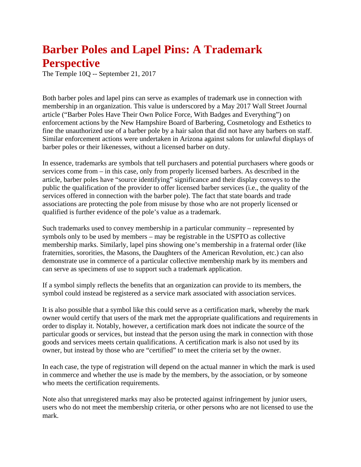## **Barber Poles and Lapel Pins: A Trademark Perspective**

The Temple 10Q -- September 21, 2017

Both barber poles and lapel pins can serve as examples of trademark use in connection with membership in an organization. This value is underscored by a May 2017 Wall Street Journal article ("Barber Poles Have Their Own Police Force, With Badges and Everything") on enforcement actions by the New Hampshire Board of Barbering, Cosmetology and Esthetics to fine the unauthorized use of a barber pole by a hair salon that did not have any barbers on staff. Similar enforcement actions were undertaken in Arizona against salons for unlawful displays of barber poles or their likenesses, without a licensed barber on duty.

In essence, trademarks are symbols that tell purchasers and potential purchasers where goods or services come from – in this case, only from properly licensed barbers. As described in the article, barber poles have "source identifying" significance and their display conveys to the public the qualification of the provider to offer licensed barber services (i.e., the quality of the services offered in connection with the barber pole). The fact that state boards and trade associations are protecting the pole from misuse by those who are not properly licensed or qualified is further evidence of the pole's value as a trademark.

Such trademarks used to convey membership in a particular community – represented by symbols only to be used by members – may be registrable in the USPTO as collective membership marks. Similarly, lapel pins showing one's membership in a fraternal order (like fraternities, sororities, the Masons, the Daughters of the American Revolution, etc.) can also demonstrate use in commerce of a particular collective membership mark by its members and can serve as specimens of use to support such a trademark application.

If a symbol simply reflects the benefits that an organization can provide to its members, the symbol could instead be registered as a service mark associated with association services.

It is also possible that a symbol like this could serve as a certification mark, whereby the mark owner would certify that users of the mark met the appropriate qualifications and requirements in order to display it. Notably, however, a certification mark does not indicate the source of the particular goods or services, but instead that the person using the mark in connection with those goods and services meets certain qualifications. A certification mark is also not used by its owner, but instead by those who are "certified" to meet the criteria set by the owner.

In each case, the type of registration will depend on the actual manner in which the mark is used in commerce and whether the use is made by the members, by the association, or by someone who meets the certification requirements.

Note also that unregistered marks may also be protected against infringement by junior users, users who do not meet the membership criteria, or other persons who are not licensed to use the mark.